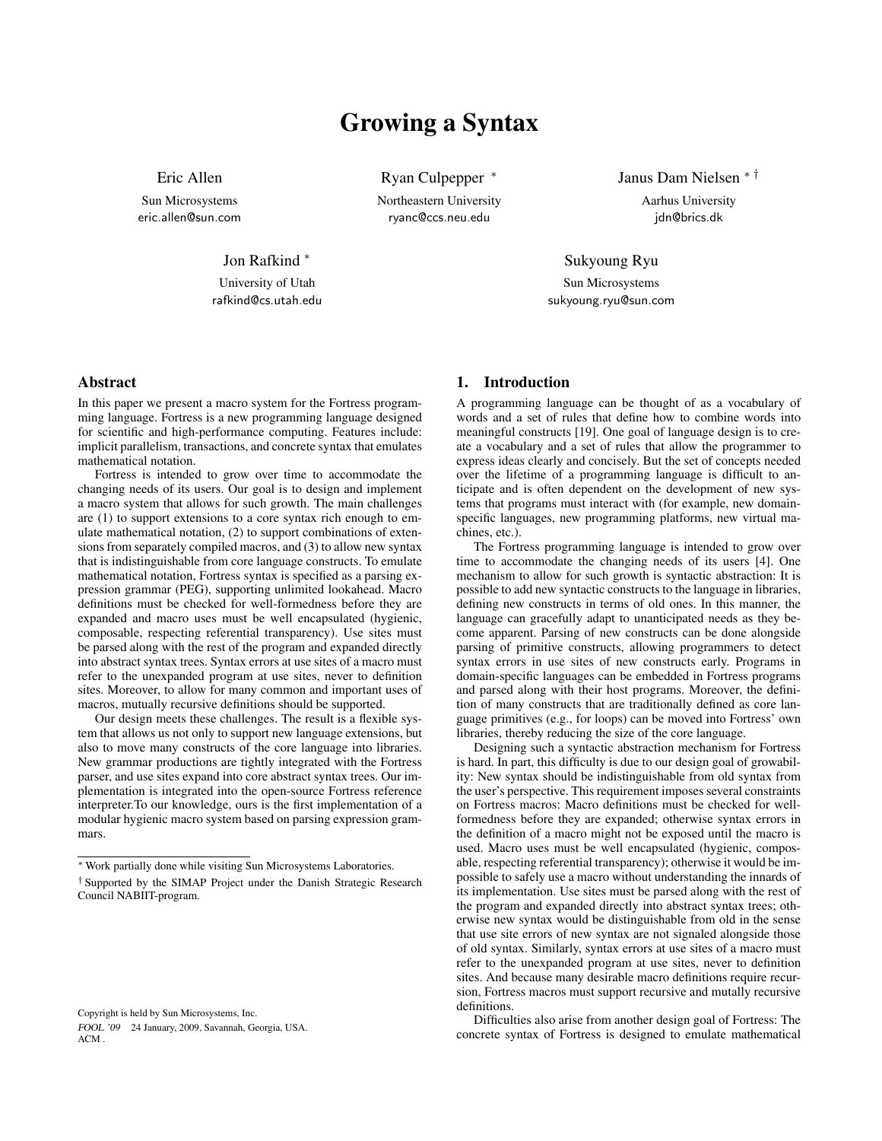# Growing a Syntax

Eric Allen

Sun Microsystems eric.allen@sun.com

Jon Rafkind <sup>∗</sup>

University of Utah rafkind@cs.utah.edu

Abstract

In this paper we present a macro system for the Fortress programming language. Fortress is a new programming language designed for scientific and high-performance computing. Features include: implicit parallelism, transactions, and concrete syntax that emulates mathematical notation.

Fortress is intended to grow over time to accommodate the changing needs of its users. Our goal is to design and implement a macro system that allows for such growth. The main challenges are (1) to support extensions to a core syntax rich enough to emulate mathematical notation, (2) to support combinations of extensions from separately compiled macros, and (3) to allow new syntax that is indistinguishable from core language constructs. To emulate mathematical notation, Fortress syntax is specified as a parsing expression grammar (PEG), supporting unlimited lookahead. Macro definitions must be checked for well-formedness before they are expanded and macro uses must be well encapsulated (hygienic, composable, respecting referential transparency). Use sites must be parsed along with the rest of the program and expanded directly into abstract syntax trees. Syntax errors at use sites of a macro must refer to the unexpanded program at use sites, never to definition sites. Moreover, to allow for many common and important uses of macros, mutually recursive definitions should be supported.

Our design meets these challenges. The result is a flexible system that allows us not only to support new language extensions, but also to move many constructs of the core language into libraries. New grammar productions are tightly integrated with the Fortress parser, and use sites expand into core abstract syntax trees. Our implementation is integrated into the open-source Fortress reference interpreter.To our knowledge, ours is the first implementation of a modular hygienic macro system based on parsing expression grammars.

Copyright is held by Sun Microsystems, Inc. FOOL '09 24 January, 2009, Savannah, Georgia, USA. ACM .

Ryan Culpepper <sup>∗</sup> Northeastern University ryanc@ccs.neu.edu

Janus Dam Nielsen ∗ † Aarhus University idn@brics.dk

Sukyoung Ryu Sun Microsystems sukyoung.ryu@sun.com

# 1. Introduction

A programming language can be thought of as a vocabulary of words and a set of rules that define how to combine words into meaningful constructs [19]. One goal of language design is to create a vocabulary and a set of rules that allow the programmer to express ideas clearly and concisely. But the set of concepts needed over the lifetime of a programming language is difficult to anticipate and is often dependent on the development of new systems that programs must interact with (for example, new domainspecific languages, new programming platforms, new virtual machines, etc.).

The Fortress programming language is intended to grow over time to accommodate the changing needs of its users [4]. One mechanism to allow for such growth is syntactic abstraction: It is possible to add new syntactic constructs to the language in libraries, defining new constructs in terms of old ones. In this manner, the language can gracefully adapt to unanticipated needs as they become apparent. Parsing of new constructs can be done alongside parsing of primitive constructs, allowing programmers to detect syntax errors in use sites of new constructs early. Programs in domain-specific languages can be embedded in Fortress programs and parsed along with their host programs. Moreover, the definition of many constructs that are traditionally defined as core language primitives (e.g., for loops) can be moved into Fortress' own libraries, thereby reducing the size of the core language.

Designing such a syntactic abstraction mechanism for Fortress is hard. In part, this difficulty is due to our design goal of growability: New syntax should be indistinguishable from old syntax from the user's perspective. This requirement imposes several constraints on Fortress macros: Macro definitions must be checked for wellformedness before they are expanded; otherwise syntax errors in the definition of a macro might not be exposed until the macro is used. Macro uses must be well encapsulated (hygienic, composable, respecting referential transparency); otherwise it would be impossible to safely use a macro without understanding the innards of its implementation. Use sites must be parsed along with the rest of the program and expanded directly into abstract syntax trees; otherwise new syntax would be distinguishable from old in the sense that use site errors of new syntax are not signaled alongside those of old syntax. Similarly, syntax errors at use sites of a macro must refer to the unexpanded program at use sites, never to definition sites. And because many desirable macro definitions require recursion, Fortress macros must support recursive and mutally recursive definitions.

Difficulties also arise from another design goal of Fortress: The concrete syntax of Fortress is designed to emulate mathematical

<sup>∗</sup> Work partially done while visiting Sun Microsystems Laboratories.

<sup>†</sup> Supported by the SIMAP Project under the Danish Strategic Research Council NABIIT-program.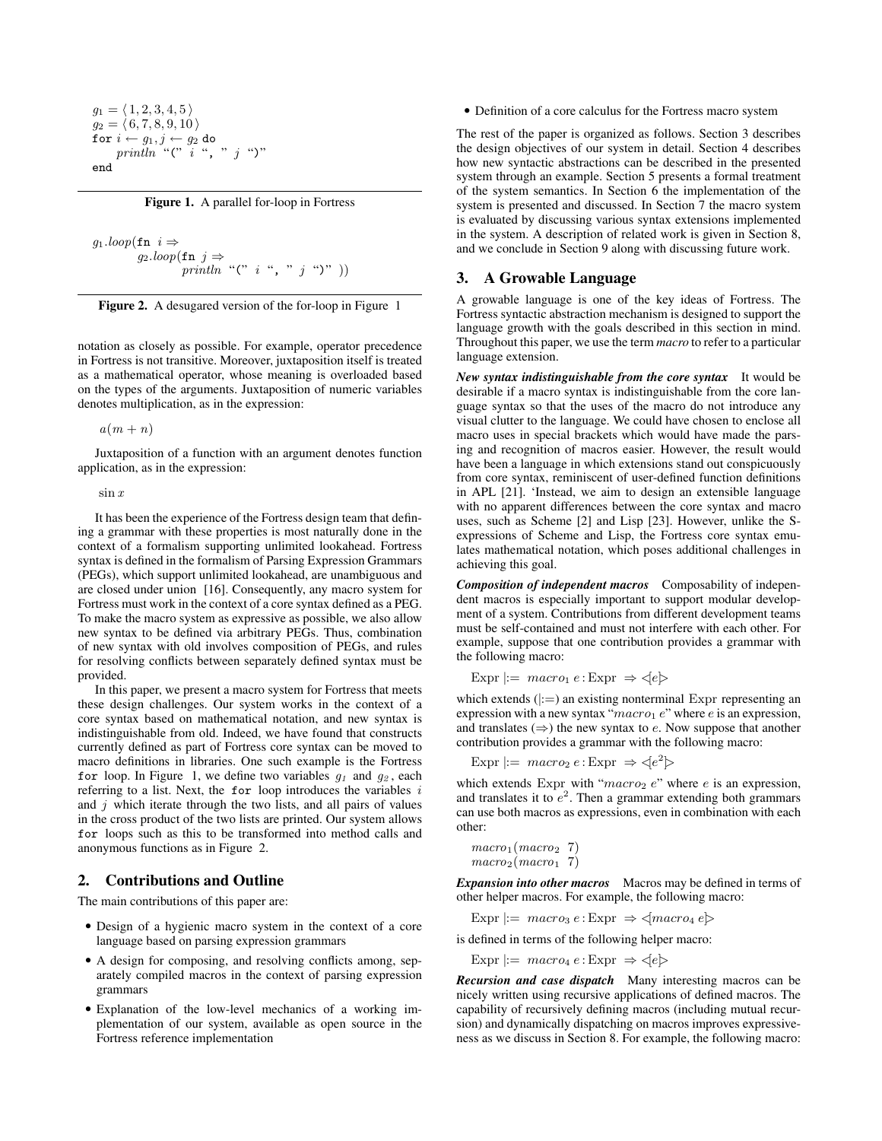$$
g_1 = \langle 1, 2, 3, 4, 5 \rangle
$$
  
\n
$$
g_2 = \langle 6, 7, 8, 9, 10 \rangle
$$
  
\nfor  $i \leftarrow g_1, j \leftarrow g_2$  do  
\n
$$
println \text{``C' i ", " j ")}"
$$
  
\nend

Figure 1. A parallel for-loop in Fortress

$$
g_1 \cdot \text{loop}(\text{fn } i \Rightarrow
$$
  

$$
g_2 \cdot \text{loop}(\text{fn } j \Rightarrow
$$
  

$$
\text{println "(" i ", " j ")")
$$



notation as closely as possible. For example, operator precedence in Fortress is not transitive. Moreover, juxtaposition itself is treated as a mathematical operator, whose meaning is overloaded based on the types of the arguments. Juxtaposition of numeric variables denotes multiplication, as in the expression:

 $a(m+n)$ 

Juxtaposition of a function with an argument denotes function application, as in the expression:

 $\sin x$ 

It has been the experience of the Fortress design team that defining a grammar with these properties is most naturally done in the context of a formalism supporting unlimited lookahead. Fortress syntax is defined in the formalism of Parsing Expression Grammars (PEGs), which support unlimited lookahead, are unambiguous and are closed under union [16]. Consequently, any macro system for Fortress must work in the context of a core syntax defined as a PEG. To make the macro system as expressive as possible, we also allow new syntax to be defined via arbitrary PEGs. Thus, combination of new syntax with old involves composition of PEGs, and rules for resolving conflicts between separately defined syntax must be provided.

In this paper, we present a macro system for Fortress that meets these design challenges. Our system works in the context of a core syntax based on mathematical notation, and new syntax is indistinguishable from old. Indeed, we have found that constructs currently defined as part of Fortress core syntax can be moved to macro definitions in libraries. One such example is the Fortress for loop. In Figure 1, we define two variables  $g_1$  and  $g_2$ , each referring to a list. Next, the for loop introduces the variables  $i$ and  $j$  which iterate through the two lists, and all pairs of values in the cross product of the two lists are printed. Our system allows for loops such as this to be transformed into method calls and anonymous functions as in Figure 2.

# 2. Contributions and Outline

The main contributions of this paper are:

- Design of a hygienic macro system in the context of a core language based on parsing expression grammars
- A design for composing, and resolving conflicts among, separately compiled macros in the context of parsing expression grammars
- Explanation of the low-level mechanics of a working implementation of our system, available as open source in the Fortress reference implementation

• Definition of a core calculus for the Fortress macro system

The rest of the paper is organized as follows. Section 3 describes the design objectives of our system in detail. Section 4 describes how new syntactic abstractions can be described in the presented system through an example. Section 5 presents a formal treatment of the system semantics. In Section 6 the implementation of the system is presented and discussed. In Section 7 the macro system is evaluated by discussing various syntax extensions implemented in the system. A description of related work is given in Section 8, and we conclude in Section 9 along with discussing future work.

# 3. A Growable Language

A growable language is one of the key ideas of Fortress. The Fortress syntactic abstraction mechanism is designed to support the language growth with the goals described in this section in mind. Throughout this paper, we use the term *macro* to refer to a particular language extension.

*New syntax indistinguishable from the core syntax* It would be desirable if a macro syntax is indistinguishable from the core language syntax so that the uses of the macro do not introduce any visual clutter to the language. We could have chosen to enclose all macro uses in special brackets which would have made the parsing and recognition of macros easier. However, the result would have been a language in which extensions stand out conspicuously from core syntax, reminiscent of user-defined function definitions in APL [21]. 'Instead, we aim to design an extensible language with no apparent differences between the core syntax and macro uses, such as Scheme [2] and Lisp [23]. However, unlike the Sexpressions of Scheme and Lisp, the Fortress core syntax emulates mathematical notation, which poses additional challenges in achieving this goal.

*Composition of independent macros* Composability of independent macros is especially important to support modular development of a system. Contributions from different development teams must be self-contained and must not interfere with each other. For example, suppose that one contribution provides a grammar with the following macro:

Expr  $:= \text{ macro}_1 e : \text{Expr } \Rightarrow \leq e$ 

which extends  $(|:=)$  an existing nonterminal Expr representing an expression with a new syntax " $macro_1 e$ " where  $e$  is an expression, and translates  $(\Rightarrow)$  the new syntax to e. Now suppose that another contribution provides a grammar with the following macro:

Expr  $|:= \text{macro}_2 \, e : \text{Expr} \Rightarrow \langle e^2 \rangle$ 

which extends Expr with " $macro_2$  e" where e is an expression, and translates it to  $e^2$ . Then a grammar extending both grammars can use both macros as expressions, even in combination with each other:

```
macro_1(macc_2 7)macro_2(maxro_1 7)
```
*Expansion into other macros* Macros may be defined in terms of other helper macros. For example, the following macro:

Expr  $:= \text{ macro}_3 e : \text{Expr } \Rightarrow \langle \text{macro}_4 e \rangle$ 

is defined in terms of the following helper macro:

Expr  $|:= \text{macro}_4 e : \text{Expr } \Rightarrow \leq |e|$ 

*Recursion and case dispatch* Many interesting macros can be nicely written using recursive applications of defined macros. The capability of recursively defining macros (including mutual recursion) and dynamically dispatching on macros improves expressiveness as we discuss in Section 8. For example, the following macro: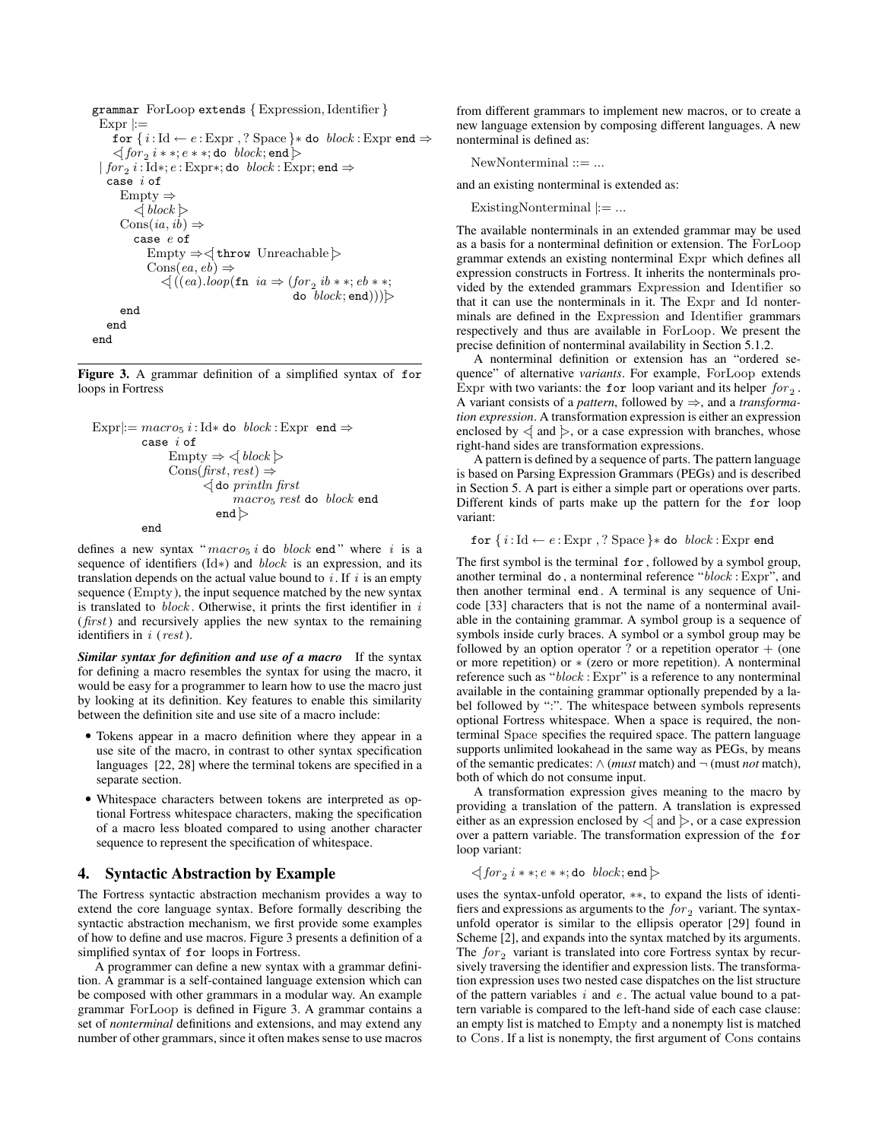```
grammar ForLoop extends { Expression, Identifier }
  Expr |:=for \{i: \text{Id} \leftarrow e : \text{Expr}, ? \text{ Space}\} * do block : \text{Expr} end \Rightarrow\lhd \textit{for}_2~ i * * ; e * * ;do \textit{block};end\rhd\mid for_2~ i:\text{Id} *; e:\text{Expr*}; do ~block:\text{Expr}; end \Rightarrowcase i ofEmpty ⇒
            \langle block \rangleCons(ia, ib) \Rightarrowcase e of
               Empty \Rightarrow \triangle throw Unreachable \trianglerightCons(ea, eb) \Rightarrow\triangleleft ((ea).loop(\texttt{fn} \texttt{ia} \Rightarrow (for_2 \texttt{ib} **; eb **;do block;end)))\trianglerightend
    end
end
```
Figure 3. A grammar definition of a simplified syntax of for loops in Fortress

```
\text{Expr}|:= macro_5 i:\text{Id} * \text{do} block:\text{Expr} \text{ end} \Rightarrowcase i of
                      Empty \Rightarrow \leq block \trianglerightCons(first, rest) \Rightarrow\triangleleft do println first
                                         macro5 rest do block end
                                    end \trianglerightend
```
defines a new syntax " $macro_5 i$  do  $block$  end" where i is a sequence of identifiers (Id∗) and block is an expression, and its translation depends on the actual value bound to  $i$ . If  $i$  is an empty sequence (Empty), the input sequence matched by the new syntax is translated to  $block.$  Otherwise, it prints the first identifier in  $i$  $(first)$  and recursively applies the new syntax to the remaining identifiers in  $i$  (rest).

*Similar syntax for definition and use of a macro* If the syntax for defining a macro resembles the syntax for using the macro, it would be easy for a programmer to learn how to use the macro just by looking at its definition. Key features to enable this similarity between the definition site and use site of a macro include:

- Tokens appear in a macro definition where they appear in a use site of the macro, in contrast to other syntax specification languages [22, 28] where the terminal tokens are specified in a separate section.
- Whitespace characters between tokens are interpreted as optional Fortress whitespace characters, making the specification of a macro less bloated compared to using another character sequence to represent the specification of whitespace.

#### 4. Syntactic Abstraction by Example

The Fortress syntactic abstraction mechanism provides a way to extend the core language syntax. Before formally describing the syntactic abstraction mechanism, we first provide some examples of how to define and use macros. Figure 3 presents a definition of a simplified syntax of for loops in Fortress.

A programmer can define a new syntax with a grammar definition. A grammar is a self-contained language extension which can be composed with other grammars in a modular way. An example grammar ForLoop is defined in Figure 3. A grammar contains a set of *nonterminal* definitions and extensions, and may extend any number of other grammars, since it often makes sense to use macros from different grammars to implement new macros, or to create a new language extension by composing different languages. A new nonterminal is defined as:

 $NewNonterminal ::= ...$ 

and an existing nonterminal is extended as:

ExistingNonterminal  $|:=...$ 

The available nonterminals in an extended grammar may be used as a basis for a nonterminal definition or extension. The ForLoop grammar extends an existing nonterminal Expr which defines all expression constructs in Fortress. It inherits the nonterminals provided by the extended grammars Expression and Identifier so that it can use the nonterminals in it. The Expr and Id nonterminals are defined in the Expression and Identifier grammars respectively and thus are available in ForLoop. We present the precise definition of nonterminal availability in Section 5.1.2.

A nonterminal definition or extension has an "ordered sequence" of alternative *variants*. For example, ForLoop extends Expr with two variants: the for loop variant and its helper  $for_2$ . A variant consists of a *pattern*, followed by ⇒, and a *transformation expression*. A transformation expression is either an expression enclosed by  $\leq$  and  $\geq$ , or a case expression with branches, whose right-hand sides are transformation expressions.

A pattern is defined by a sequence of parts. The pattern language is based on Parsing Expression Grammars (PEGs) and is described in Section 5. A part is either a simple part or operations over parts. Different kinds of parts make up the pattern for the for loop variant:

for  $\{i: \text{Id} \leftarrow e : \text{Expr}, ? \text{ Space}\} *$  do  $block : \text{Expr}$  end

The first symbol is the terminal for, followed by a symbol group, another terminal do , a nonterminal reference "block : Expr", and then another terminal end . A terminal is any sequence of Unicode [33] characters that is not the name of a nonterminal available in the containing grammar. A symbol group is a sequence of symbols inside curly braces. A symbol or a symbol group may be followed by an option operator ? or a repetition operator  $+$  (one or more repetition) or ∗ (zero or more repetition). A nonterminal reference such as "block : Expr" is a reference to any nonterminal available in the containing grammar optionally prepended by a label followed by ":". The whitespace between symbols represents optional Fortress whitespace. When a space is required, the nonterminal Space specifies the required space. The pattern language supports unlimited lookahead in the same way as PEGs, by means of the semantic predicates:  $\land$  (*must* match) and  $\neg$  (must *not* match), both of which do not consume input.

A transformation expression gives meaning to the macro by providing a translation of the pattern. A translation is expressed either as an expression enclosed by  $\leq$  and  $\geq$ , or a case expression over a pattern variable. The transformation expression of the for loop variant:

 $\triangleleft for_2$   $i**;e**;$  do  $\textit{block};$  end  $\triangleright$ 

uses the syntax-unfold operator, ∗∗, to expand the lists of identifiers and expressions as arguments to the  $for_2$  variant. The syntaxunfold operator is similar to the ellipsis operator [29] found in Scheme [2], and expands into the syntax matched by its arguments. The  $for_2$  variant is translated into core Fortress syntax by recursively traversing the identifier and expression lists. The transformation expression uses two nested case dispatches on the list structure of the pattern variables  $i$  and  $e$ . The actual value bound to a pattern variable is compared to the left-hand side of each case clause: an empty list is matched to Empty and a nonempty list is matched to Cons. If a list is nonempty, the first argument of Cons contains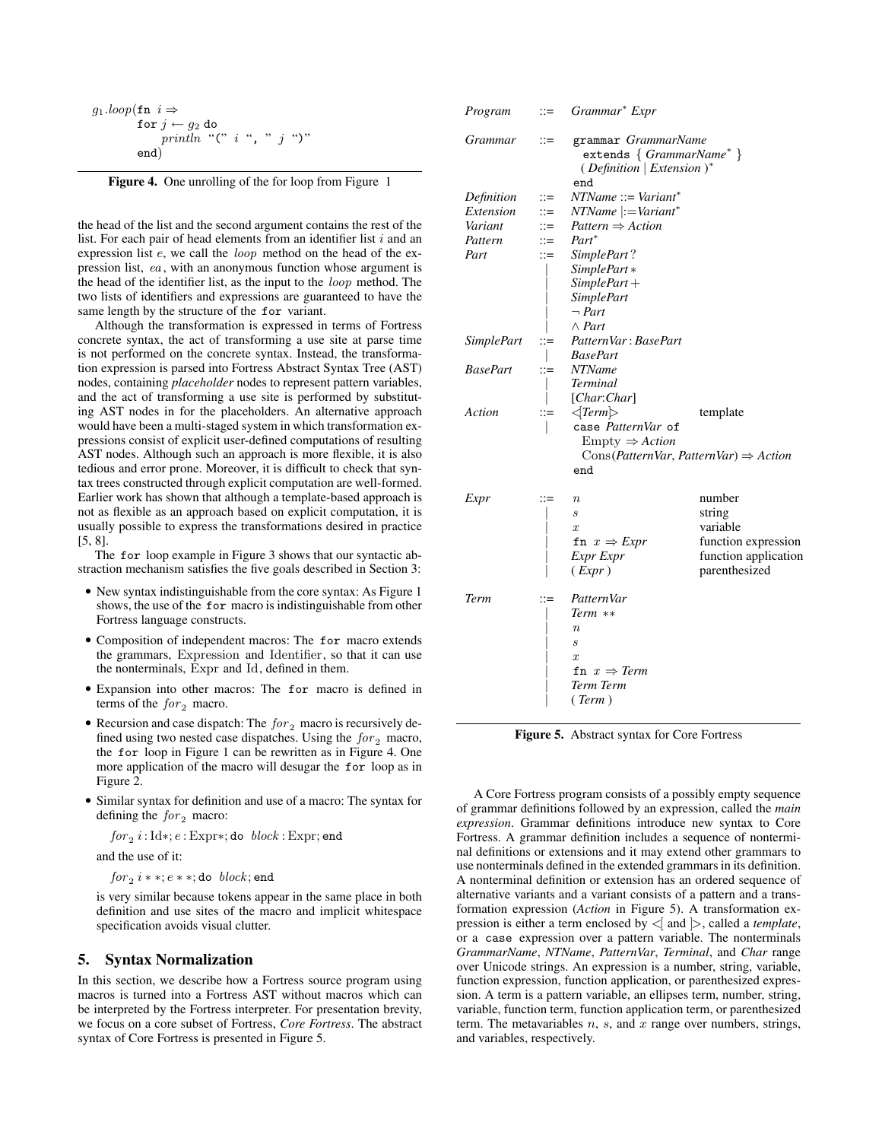$$
g_1 \cdot \text{loop}(\text{fn } i \Rightarrow \text{for } j \leftarrow g_2 \text{ do} \text{print } m \text{ ''(} " i " , " j " )" \text{ end} )
$$

Figure 4. One unrolling of the for loop from Figure 1

the head of the list and the second argument contains the rest of the list. For each pair of head elements from an identifier list  $i$  and an expression list e, we call the loop method on the head of the expression list, ea, with an anonymous function whose argument is the head of the identifier list, as the input to the loop method. The two lists of identifiers and expressions are guaranteed to have the same length by the structure of the for variant.

Although the transformation is expressed in terms of Fortress concrete syntax, the act of transforming a use site at parse time is not performed on the concrete syntax. Instead, the transformation expression is parsed into Fortress Abstract Syntax Tree (AST) nodes, containing *placeholder* nodes to represent pattern variables, and the act of transforming a use site is performed by substituting AST nodes in for the placeholders. An alternative approach would have been a multi-staged system in which transformation expressions consist of explicit user-defined computations of resulting AST nodes. Although such an approach is more flexible, it is also tedious and error prone. Moreover, it is difficult to check that syntax trees constructed through explicit computation are well-formed. Earlier work has shown that although a template-based approach is not as flexible as an approach based on explicit computation, it is usually possible to express the transformations desired in practice [5, 8].

The for loop example in Figure 3 shows that our syntactic abstraction mechanism satisfies the five goals described in Section 3:

- New syntax indistinguishable from the core syntax: As Figure 1 shows, the use of the for macro is indistinguishable from other Fortress language constructs.
- Composition of independent macros: The for macro extends the grammars, Expression and Identifier, so that it can use the nonterminals, Expr and Id, defined in them.
- Expansion into other macros: The for macro is defined in terms of the  $for_2$  macro.
- Recursion and case dispatch: The  $for_2$  macro is recursively defined using two nested case dispatches. Using the  $for_2$  macro, the for loop in Figure 1 can be rewritten as in Figure 4. One more application of the macro will desugar the for loop as in Figure 2.
- Similar syntax for definition and use of a macro: The syntax for defining the  $for_2$  macro:

 $for_2 i:\mathrm{Id} *;e:\mathrm{Expr*};$  do  $\emph{block}:\mathrm{Expr};$  end and the use of it:

 $for_2 i * *; e * *;$ do  $block;$ end

is very similar because tokens appear in the same place in both definition and use sites of the macro and implicit whitespace specification avoids visual clutter.

# 5. Syntax Normalization

In this section, we describe how a Fortress source program using macros is turned into a Fortress AST without macros which can be interpreted by the Fortress interpreter. For presentation brevity, we focus on a core subset of Fortress, *Core Fortress*. The abstract syntax of Core Fortress is presented in Figure 5.

| Program           | $::=$                 | Grammar <sup>*</sup> Expr                                                                                                              |                      |
|-------------------|-----------------------|----------------------------------------------------------------------------------------------------------------------------------------|----------------------|
| Grammar           | $::=$                 | grammar GrammarName<br>extends { GrammarName* }<br>(Definition   Extension )*<br>end                                                   |                      |
| Definition        | $::=$                 | $NTName ::= Variant^*$                                                                                                                 |                      |
| Extension         | $\mathrel{\mathop:}=$ | $NTName \nightharpoonup = Variant^*$                                                                                                   |                      |
| Variant           | $\dddot{=}$           | $Pattern \Rightarrow Action$                                                                                                           |                      |
| Pattern           | ።≕                    | Part*                                                                                                                                  |                      |
| Part              | $\vdots =$            | SimplePart?                                                                                                                            |                      |
|                   |                       | SimplePart*                                                                                                                            |                      |
|                   |                       | $SimplePart +$                                                                                                                         |                      |
|                   |                       | <b>SimplePart</b>                                                                                                                      |                      |
|                   |                       | $\neg$ Part                                                                                                                            |                      |
|                   |                       | $\wedge$ Part                                                                                                                          |                      |
| <i>SimplePart</i> | $::=$                 | PatternVar: BasePart                                                                                                                   |                      |
|                   |                       | <b>BasePart</b>                                                                                                                        |                      |
| <b>BasePart</b>   | ።≕                    | <b>NTName</b>                                                                                                                          |                      |
|                   |                       | <i>Terminal</i>                                                                                                                        |                      |
|                   |                       | [Char:Char]                                                                                                                            |                      |
| Action            | $\mathrel{\mathop:}=$ | $\langle Term \rangle$<br>case PatternVar of<br>$Empty \Rightarrow Action$<br>$Cons(PatternVar, PatternVar) \Rightarrow Action$<br>end | template             |
| Expr              | ።≕                    | $\boldsymbol{n}$                                                                                                                       | number               |
|                   |                       | $\mathcal{S}_{\mathcal{S}}$                                                                                                            | string               |
|                   |                       | $\boldsymbol{x}$                                                                                                                       | variable             |
|                   |                       | fn $x \Rightarrow \text{Expr}$                                                                                                         | function expression  |
|                   |                       | Expr Expr                                                                                                                              | function application |
|                   |                       | $( \mathit{Expr} )$                                                                                                                    | parenthesized        |
| Term              | $::=$                 | PatternVar                                                                                                                             |                      |
|                   |                       | Term **                                                                                                                                |                      |
|                   |                       | $n_{\rm c}$                                                                                                                            |                      |
|                   |                       | $\mathcal{S}_{\mathcal{S}}$                                                                                                            |                      |
|                   |                       | $\boldsymbol{x}$                                                                                                                       |                      |
|                   |                       | fn $x \Rightarrow$ Term                                                                                                                |                      |
|                   |                       | Term Term                                                                                                                              |                      |
|                   |                       | (Term)                                                                                                                                 |                      |
|                   |                       |                                                                                                                                        |                      |

Figure 5. Abstract syntax for Core Fortress

A Core Fortress program consists of a possibly empty sequence of grammar definitions followed by an expression, called the *main expression*. Grammar definitions introduce new syntax to Core Fortress. A grammar definition includes a sequence of nonterminal definitions or extensions and it may extend other grammars to use nonterminals defined in the extended grammars in its definition. A nonterminal definition or extension has an ordered sequence of alternative variants and a variant consists of a pattern and a transformation expression (*Action* in Figure 5). A transformation expression is either a term enclosed by  $\leq$  and  $\geq$ , called a *template*, or a case expression over a pattern variable. The nonterminals *GrammarName*, *NTName*, *PatternVar*, *Terminal*, and *Char* range over Unicode strings. An expression is a number, string, variable, function expression, function application, or parenthesized expression. A term is a pattern variable, an ellipses term, number, string, variable, function term, function application term, or parenthesized term. The metavariables  $n$ ,  $s$ , and  $x$  range over numbers, strings, and variables, respectively.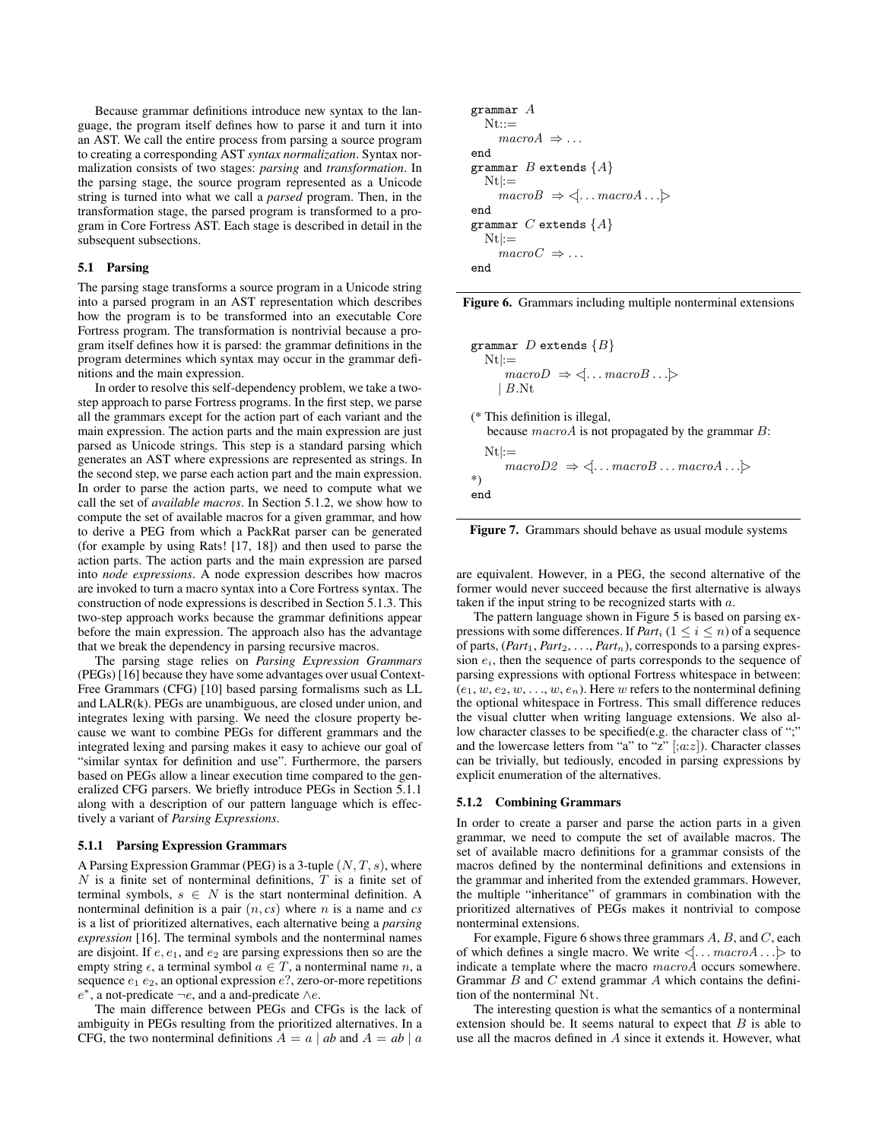Because grammar definitions introduce new syntax to the language, the program itself defines how to parse it and turn it into an AST. We call the entire process from parsing a source program to creating a corresponding AST *syntax normalization*. Syntax normalization consists of two stages: *parsing* and *transformation*. In the parsing stage, the source program represented as a Unicode string is turned into what we call a *parsed* program. Then, in the transformation stage, the parsed program is transformed to a program in Core Fortress AST. Each stage is described in detail in the subsequent subsections.

## 5.1 Parsing

The parsing stage transforms a source program in a Unicode string into a parsed program in an AST representation which describes how the program is to be transformed into an executable Core Fortress program. The transformation is nontrivial because a program itself defines how it is parsed: the grammar definitions in the program determines which syntax may occur in the grammar definitions and the main expression.

In order to resolve this self-dependency problem, we take a twostep approach to parse Fortress programs. In the first step, we parse all the grammars except for the action part of each variant and the main expression. The action parts and the main expression are just parsed as Unicode strings. This step is a standard parsing which generates an AST where expressions are represented as strings. In the second step, we parse each action part and the main expression. In order to parse the action parts, we need to compute what we call the set of *available macros*. In Section 5.1.2, we show how to compute the set of available macros for a given grammar, and how to derive a PEG from which a PackRat parser can be generated (for example by using Rats! [17, 18]) and then used to parse the action parts. The action parts and the main expression are parsed into *node expressions*. A node expression describes how macros are invoked to turn a macro syntax into a Core Fortress syntax. The construction of node expressions is described in Section 5.1.3. This two-step approach works because the grammar definitions appear before the main expression. The approach also has the advantage that we break the dependency in parsing recursive macros.

The parsing stage relies on *Parsing Expression Grammars* (PEGs) [16] because they have some advantages over usual Context-Free Grammars (CFG) [10] based parsing formalisms such as LL and LALR(k). PEGs are unambiguous, are closed under union, and integrates lexing with parsing. We need the closure property because we want to combine PEGs for different grammars and the integrated lexing and parsing makes it easy to achieve our goal of "similar syntax for definition and use". Furthermore, the parsers based on PEGs allow a linear execution time compared to the generalized CFG parsers. We briefly introduce PEGs in Section 5.1.1 along with a description of our pattern language which is effectively a variant of *Parsing Expressions*.

## 5.1.1 Parsing Expression Grammars

A Parsing Expression Grammar (PEG) is a 3-tuple  $(N, T, s)$ , where  $N$  is a finite set of nonterminal definitions,  $T$  is a finite set of terminal symbols,  $s \in N$  is the start nonterminal definition. A nonterminal definition is a pair (n, *cs*) where n is a name and *cs* is a list of prioritized alternatives, each alternative being a *parsing expression* [16]. The terminal symbols and the nonterminal names are disjoint. If  $e, e_1$ , and  $e_2$  are parsing expressions then so are the empty string  $\epsilon$ , a terminal symbol  $a \in T$ , a nonterminal name n, a sequence  $e_1 e_2$ , an optional expression  $e$ ?, zero-or-more repetitions  $e^*$ , a not-predicate  $\neg e$ , and a and-predicate ∧e.

The main difference between PEGs and CFGs is the lack of ambiguity in PEGs resulting from the prioritized alternatives. In a CFG, the two nonterminal definitions  $A = a | ab$  and  $A = ab | a$ 

```
grammar ANt::=macroA \Rightarrow \dotsend
grammar B extends \{A\}Nt:=macroB \Rightarrow \langle \dots \textit{macroA} \dots \rangleend
grammar C extends \{A\}Nt:=macroC \Rightarrow \dotsend
```
Figure 6. Grammars including multiple nonterminal extensions

| grammar D extends $\{B\}$                                                               |
|-----------------------------------------------------------------------------------------|
| $Nt:=$                                                                                  |
| $macroD \Rightarrow \langle \dots \textit{macroB} \dots \rangle$                        |
| $\mid B.\mathrm{Nt}$                                                                    |
| (* This definition is illegal,                                                          |
| because $macroA$ is not propagated by the grammar $B$ :                                 |
| $Nt :=$                                                                                 |
| $macroD2 \Rightarrow \langle \dots \textit{macroB} \dots \textit{macroA} \dots \rangle$ |
| $^{*}$                                                                                  |
| end                                                                                     |
|                                                                                         |

Figure 7. Grammars should behave as usual module systems

are equivalent. However, in a PEG, the second alternative of the former would never succeed because the first alternative is always taken if the input string to be recognized starts with a.

The pattern language shown in Figure 5 is based on parsing expressions with some differences. If *Part<sub>i</sub>*  $(1 \le i \le n)$  of a sequence of parts,  $(Part_1, Part_2, \ldots, Part_n)$ , corresponds to a parsing expression  $e_i$ , then the sequence of parts corresponds to the sequence of parsing expressions with optional Fortress whitespace in between:  $(e_1, w, e_2, w, \ldots, w, e_n)$ . Here w refers to the nonterminal defining the optional whitespace in Fortress. This small difference reduces the visual clutter when writing language extensions. We also allow character classes to be specified(e.g. the character class of ";" and the lowercase letters from "a" to "z"  $[;az]$ ). Character classes can be trivially, but tediously, encoded in parsing expressions by explicit enumeration of the alternatives.

## 5.1.2 Combining Grammars

In order to create a parser and parse the action parts in a given grammar, we need to compute the set of available macros. The set of available macro definitions for a grammar consists of the macros defined by the nonterminal definitions and extensions in the grammar and inherited from the extended grammars. However, the multiple "inheritance" of grammars in combination with the prioritized alternatives of PEGs makes it nontrivial to compose nonterminal extensions.

For example, Figure 6 shows three grammars  $A, B$ , and  $C$ , each of which defines a single macro. We write  $\langle \dots \textit{macroA} \dots \rangle$  to indicate a template where the macro macroA occurs somewhere. Grammar  $B$  and  $C$  extend grammar  $A$  which contains the definition of the nonterminal Nt.

The interesting question is what the semantics of a nonterminal extension should be. It seems natural to expect that  $B$  is able to use all the macros defined in A since it extends it. However, what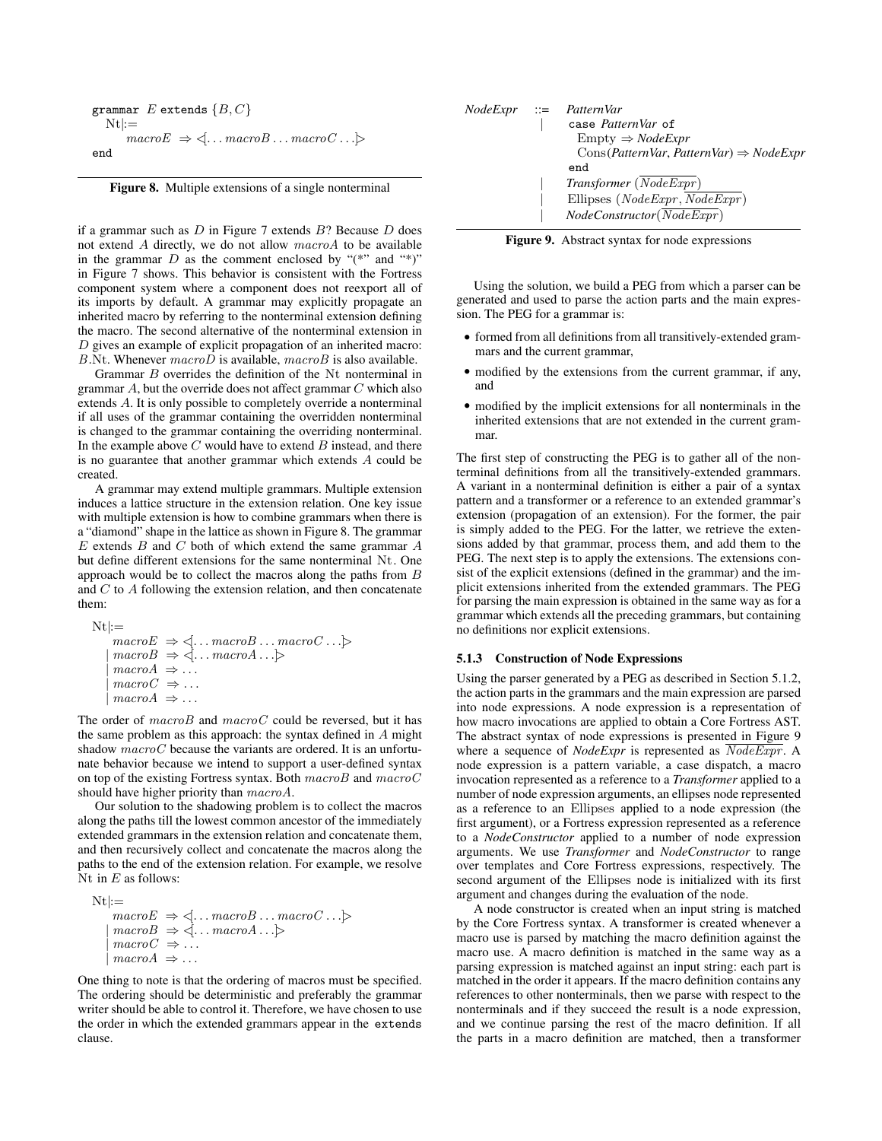```
grammar E extends \{B, C\}Nt:=macroE \Rightarrow \langle ... \text{ macroB} ... \text{macroC} ... \rangleend
```
Figure 8. Multiple extensions of a single nonterminal

if a grammar such as  $D$  in Figure 7 extends  $B$ ? Because  $D$  does not extend A directly, we do not allow macroA to be available in the grammar  $D$  as the comment enclosed by " $(*"$ " and "\*)" in Figure 7 shows. This behavior is consistent with the Fortress component system where a component does not reexport all of its imports by default. A grammar may explicitly propagate an inherited macro by referring to the nonterminal extension defining the macro. The second alternative of the nonterminal extension in D gives an example of explicit propagation of an inherited macro:  $B.Nt.$  Whenever  $macroD$  is available,  $macroB$  is also available.

Grammar B overrides the definition of the Nt nonterminal in grammar  $A$ , but the override does not affect grammar  $C$  which also extends A. It is only possible to completely override a nonterminal if all uses of the grammar containing the overridden nonterminal is changed to the grammar containing the overriding nonterminal. In the example above  $C$  would have to extend  $B$  instead, and there is no guarantee that another grammar which extends A could be created.

A grammar may extend multiple grammars. Multiple extension induces a lattice structure in the extension relation. One key issue with multiple extension is how to combine grammars when there is a "diamond" shape in the lattice as shown in Figure 8. The grammar  $E$  extends  $B$  and  $C$  both of which extend the same grammar  $A$ but define different extensions for the same nonterminal Nt. One approach would be to collect the macros along the paths from B and C to A following the extension relation, and then concatenate them:

```
Nt:=macroE \Rightarrow \leq \dots macroB \dots macroC \dots \geq\mid macroB \Rightarrow \leq \ldots macroA \ldotsmacroA \Rightarrow \dotsmacroC \Rightarrow \dotsmacroA \Rightarrow \dots
```
The order of  $macroB$  and  $macroC$  could be reversed, but it has the same problem as this approach: the syntax defined in  $A$  might shadow  $macroC$  because the variants are ordered. It is an unfortunate behavior because we intend to support a user-defined syntax on top of the existing Fortress syntax. Both  $macroB$  and  $macroC$ should have higher priority than macroA.

Our solution to the shadowing problem is to collect the macros along the paths till the lowest common ancestor of the immediately extended grammars in the extension relation and concatenate them, and then recursively collect and concatenate the macros along the paths to the end of the extension relation. For example, we resolve Nt in  $E$  as follows:

```
Nt:=macroE \Rightarrow \leq \dots macroB \dots macroC \dots \geq\mid macroB \Rightarrow \leq \ldots macroA \ldotsmacroC \Rightarrow \dotsmacroA \Rightarrow \dots
```
One thing to note is that the ordering of macros must be specified. The ordering should be deterministic and preferably the grammar writer should be able to control it. Therefore, we have chosen to use the order in which the extended grammars appear in the extends clause.

|  | $NodeExpr ::= PatternVar$<br>case PatternVar of<br>$Empty \Rightarrow NodeExpr$ |
|--|---------------------------------------------------------------------------------|
|  | $Cons(PatternVar, PatternVar) \Rightarrow Nodeexpr$<br>end                      |
|  | $Transformer (Node \overline{Expr})$<br>Ellipses ( $NodeExpr$ , $NodeExpr$ )    |
|  | $NodeConstructor(\overline{NodeExpr})$                                          |

Figure 9. Abstract syntax for node expressions

Using the solution, we build a PEG from which a parser can be generated and used to parse the action parts and the main expression. The PEG for a grammar is:

- formed from all definitions from all transitively-extended grammars and the current grammar,
- modified by the extensions from the current grammar, if any, and
- modified by the implicit extensions for all nonterminals in the inherited extensions that are not extended in the current grammar.

The first step of constructing the PEG is to gather all of the nonterminal definitions from all the transitively-extended grammars. A variant in a nonterminal definition is either a pair of a syntax pattern and a transformer or a reference to an extended grammar's extension (propagation of an extension). For the former, the pair is simply added to the PEG. For the latter, we retrieve the extensions added by that grammar, process them, and add them to the PEG. The next step is to apply the extensions. The extensions consist of the explicit extensions (defined in the grammar) and the implicit extensions inherited from the extended grammars. The PEG for parsing the main expression is obtained in the same way as for a grammar which extends all the preceding grammars, but containing no definitions nor explicit extensions.

#### 5.1.3 Construction of Node Expressions

Using the parser generated by a PEG as described in Section 5.1.2, the action parts in the grammars and the main expression are parsed into node expressions. A node expression is a representation of how macro invocations are applied to obtain a Core Fortress AST. The abstract syntax of node expressions is presented in Figure 9 where a sequence of *NodeExpr* is represented as  $\overline{NodeExpr}$ . A node expression is a pattern variable, a case dispatch, a macro invocation represented as a reference to a *Transformer* applied to a number of node expression arguments, an ellipses node represented as a reference to an Ellipses applied to a node expression (the first argument), or a Fortress expression represented as a reference to a *NodeConstructor* applied to a number of node expression arguments. We use *Transformer* and *NodeConstructor* to range over templates and Core Fortress expressions, respectively. The second argument of the Ellipses node is initialized with its first argument and changes during the evaluation of the node.

A node constructor is created when an input string is matched by the Core Fortress syntax. A transformer is created whenever a macro use is parsed by matching the macro definition against the macro use. A macro definition is matched in the same way as a parsing expression is matched against an input string: each part is matched in the order it appears. If the macro definition contains any references to other nonterminals, then we parse with respect to the nonterminals and if they succeed the result is a node expression, and we continue parsing the rest of the macro definition. If all the parts in a macro definition are matched, then a transformer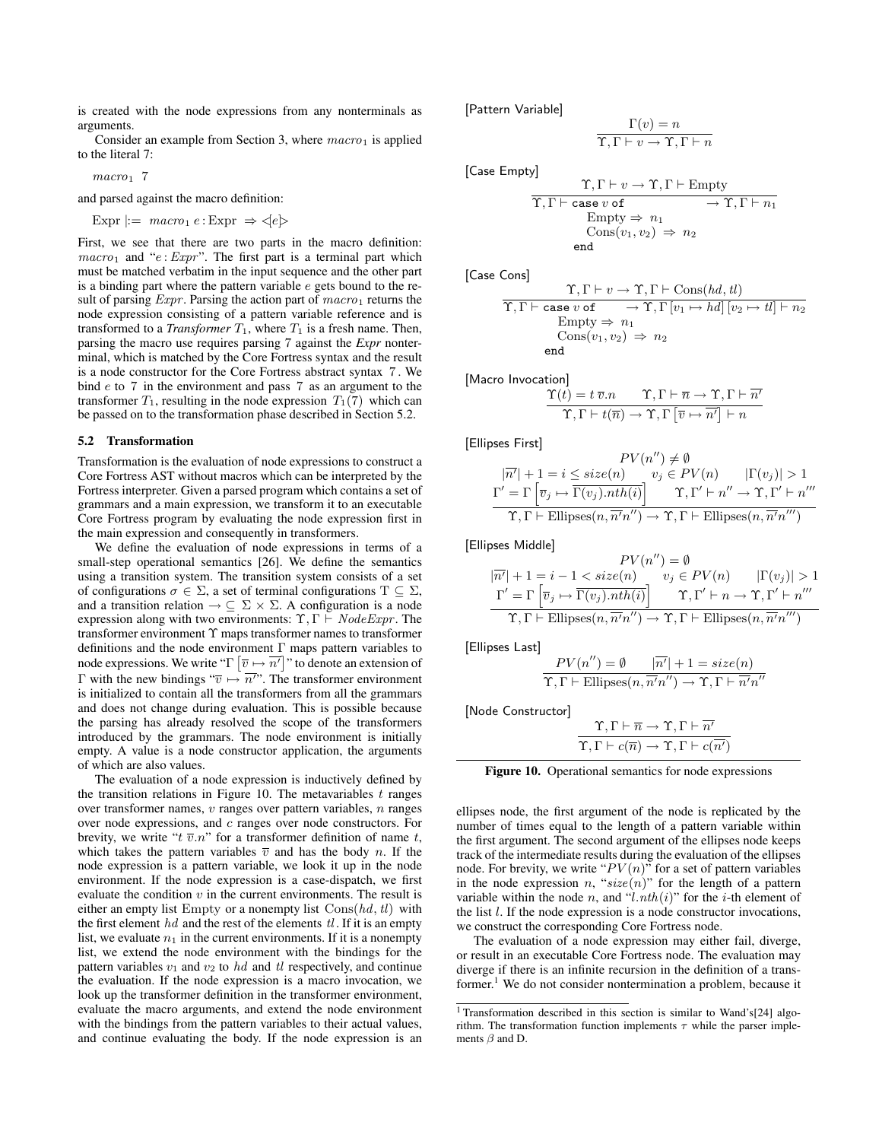is created with the node expressions from any nonterminals as arguments.

Consider an example from Section 3, where  $macro_1$  is applied to the literal 7:

 $macro_1$  7

and parsed against the macro definition:

$$
Expr \mid := \text{macro}_1 e : Expr \Rightarrow \leq e \geq
$$

First, we see that there are two parts in the macro definition:  $macro<sub>1</sub>$  and "e :  $Expr$ ". The first part is a terminal part which must be matched verbatim in the input sequence and the other part is a binding part where the pattern variable  $e$  gets bound to the result of parsing  $Expr$ . Parsing the action part of  $macro_1$  returns the node expression consisting of a pattern variable reference and is transformed to a *Transformer*  $T_1$ , where  $T_1$  is a fresh name. Then, parsing the macro use requires parsing 7 against the *Expr* nonterminal, which is matched by the Core Fortress syntax and the result is a node constructor for the Core Fortress abstract syntax 7 . We bind e to 7 in the environment and pass 7 as an argument to the transformer  $T_1$ , resulting in the node expression  $T_1(7)$  which can be passed on to the transformation phase described in Section 5.2.

#### 5.2 Transformation

Transformation is the evaluation of node expressions to construct a Core Fortress AST without macros which can be interpreted by the Fortress interpreter. Given a parsed program which contains a set of grammars and a main expression, we transform it to an executable Core Fortress program by evaluating the node expression first in the main expression and consequently in transformers.

We define the evaluation of node expressions in terms of a small-step operational semantics [26]. We define the semantics using a transition system. The transition system consists of a set of configurations  $\sigma \in \Sigma$ , a set of terminal configurations  $T \subseteq \Sigma$ , and a transition relation  $\rightarrow \subseteq \Sigma \times \Sigma$ . A configuration is a node expression along with two environments:  $\Upsilon$ ,  $\Gamma \vdash NodeExperiment$ . The transformer environment Υ maps transformer names to transformer definitions and the node environment Γ maps pattern variables to node expressions. We write " $\Gamma$   $[\overline{v} \mapsto \overline{n'}]$ " to denote an extension of Γ with the new bindings " $\overline{v} \mapsto \overline{n''}$ ". The transformer environment is initialized to contain all the transformers from all the grammars and does not change during evaluation. This is possible because the parsing has already resolved the scope of the transformers introduced by the grammars. The node environment is initially empty. A value is a node constructor application, the arguments of which are also values.

The evaluation of a node expression is inductively defined by the transition relations in Figure 10. The metavariables  $t$  ranges over transformer names,  $v$  ranges over pattern variables,  $n$  ranges over node expressions, and c ranges over node constructors. For brevity, we write " $t \overline{v} \cdot n$ " for a transformer definition of name  $t$ , which takes the pattern variables  $\overline{v}$  and has the body *n*. If the node expression is a pattern variable, we look it up in the node environment. If the node expression is a case-dispatch, we first evaluate the condition  $v$  in the current environments. The result is either an empty list Empty or a nonempty list  $\text{Cons}(hd, tl)$  with the first element  $hd$  and the rest of the elements  $tl$ . If it is an empty list, we evaluate  $n_1$  in the current environments. If it is a nonempty list, we extend the node environment with the bindings for the pattern variables  $v_1$  and  $v_2$  to  $hd$  and  $tl$  respectively, and continue the evaluation. If the node expression is a macro invocation, we look up the transformer definition in the transformer environment, evaluate the macro arguments, and extend the node environment with the bindings from the pattern variables to their actual values, and continue evaluating the body. If the node expression is an

[Pattern Variable]

$$
\frac{1(v) = n}{\Upsilon, \Gamma \vdash v \to \Upsilon, \Gamma \vdash n}
$$

 $\Gamma(x)$ 

[Case Empty]

$$
\frac{\Upsilon, \Gamma \vdash v \to \Upsilon, \Gamma \vdash \text{Empty}}{\Upsilon, \Gamma \vdash \text{case } v \text{ of } \longrightarrow \Upsilon, \Gamma \vdash n_1}
$$
\n
$$
\begin{array}{c}\text{Empty} \Rightarrow n_1\\ \text{Cons}(v_1, v_2) \Rightarrow n_2\\ \text{end}\end{array}
$$

[Case Cons]

$$
\begin{array}{rcl}\n\Upsilon, \Gamma \vdash v \to \Upsilon, \Gamma \vdash \mathrm{Cons}(hd, tl) \\
\hline\n\Upsilon, \Gamma \vdash \mathrm{case} \ v \ \mathrm{of} & \to \Upsilon, \Gamma \left[ v_1 \mapsto hd \right] \left[ v_2 \mapsto tl \right] \vdash n_2 \\
\hline\n\mathrm{Empty} \Rightarrow n_1 \\
\mathrm{Cons}(v_1, v_2) \Rightarrow n_2 \\
\mathrm{end}\n\end{array}
$$

[Macro Invocation]

$$
\frac{\Upsilon(t) = t \overline{v}.n \qquad \Upsilon, \Gamma \vdash \overline{n} \rightarrow \Upsilon, \Gamma \vdash \overline{n'}}{\Upsilon, \Gamma \vdash t(\overline{n}) \rightarrow \Upsilon, \Gamma \left[\overline{v} \mapsto \overline{n'}\right] \vdash n}
$$

[Ellipses First]

$$
PV(n'') \neq \emptyset
$$
  
\n
$$
\Gamma' = \Gamma \left[ \overline{v_j} \mapsto \overline{\Gamma(v_j).nth(i)} \right] \qquad v_j \in PV(n) \qquad |\Gamma(v_j)| > 1
$$
  
\n
$$
\Gamma' = \Gamma \left[ \overline{v_j} \mapsto \overline{\Gamma(v_j).nth(i)} \right] \qquad \Upsilon, \Gamma' \vdash n'' \to \Upsilon, \Gamma' \vdash n'''
$$
  
\n
$$
\Upsilon, \Gamma \vdash Ellipses(n, \overline{n'}n'') \to \Upsilon, \Gamma \vdash Ellipses(n, \overline{n'}n''')
$$

[Ellipses Middle]

$$
PV(n'') = \emptyset
$$
  
\n
$$
\overline{|n'|} + 1 = i - 1 < size(n) \qquad v_j \in PV(n) \qquad |\Gamma(v_j)| > 1
$$
  
\n
$$
\Gamma' = \Gamma \left[ \overline{v}_j \mapsto \overline{\Gamma(v_j).nth(i)} \right] \qquad \Upsilon, \Gamma' \vdash n \to \Upsilon, \Gamma' \vdash n'''
$$
  
\n
$$
\Upsilon, \Gamma \vdash Ellipses(n, \overline{n'}n'') \to \Upsilon, \Gamma \vdash Ellipses(n, \overline{n'}n''')
$$

[Ellipses Last]

$$
PV(n'') = \emptyset \quad |\overline{n'}| + 1 = size(n)
$$
  

$$
\Upsilon, \Gamma \vdash Ellipses(n, \overline{n'}n'') \to \Upsilon, \Gamma \vdash \overline{n'}n''
$$

[Node Constructor]

| $\Upsilon, \Gamma \vdash \overline{n} \rightarrow \Upsilon, \Gamma \vdash n'$                  |  |
|------------------------------------------------------------------------------------------------|--|
| $\Upsilon, \Gamma \vdash c(\overline{n}) \rightarrow \Upsilon, \Gamma \vdash c(\overline{n'})$ |  |

Figure 10. Operational semantics for node expressions

ellipses node, the first argument of the node is replicated by the number of times equal to the length of a pattern variable within the first argument. The second argument of the ellipses node keeps track of the intermediate results during the evaluation of the ellipses node. For brevity, we write " $PV(n)$ " for a set of pattern variables in the node expression n, " $size(n)$ " for the length of a pattern variable within the node n, and "l.nth(i)" for the *i*-th element of the list  $l$ . If the node expression is a node constructor invocations, we construct the corresponding Core Fortress node.

The evaluation of a node expression may either fail, diverge, or result in an executable Core Fortress node. The evaluation may diverge if there is an infinite recursion in the definition of a transformer.<sup>1</sup> We do not consider nontermination a problem, because it

<sup>&</sup>lt;sup>1</sup> Transformation described in this section is similar to Wand's[24] algorithm. The transformation function implements  $\tau$  while the parser implements  $\beta$  and D.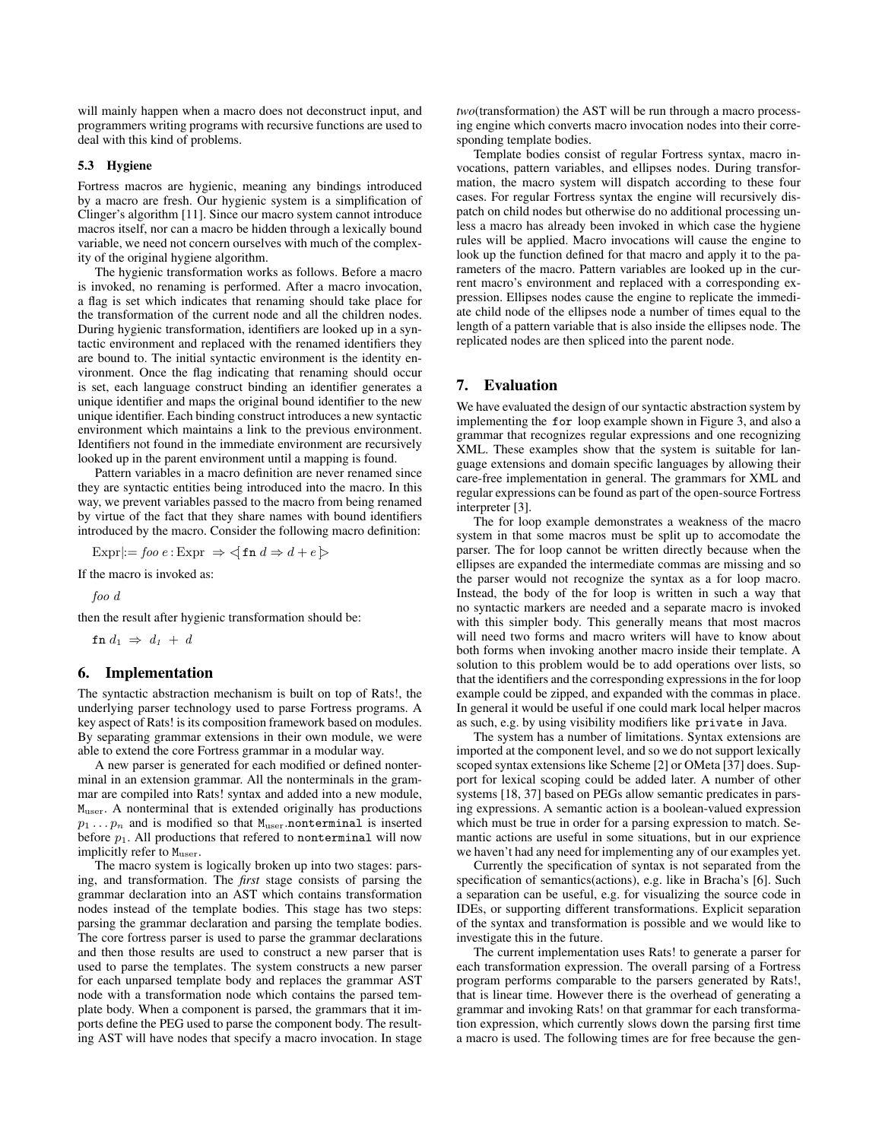will mainly happen when a macro does not deconstruct input, and programmers writing programs with recursive functions are used to deal with this kind of problems.

## 5.3 Hygiene

Fortress macros are hygienic, meaning any bindings introduced by a macro are fresh. Our hygienic system is a simplification of Clinger's algorithm [11]. Since our macro system cannot introduce macros itself, nor can a macro be hidden through a lexically bound variable, we need not concern ourselves with much of the complexity of the original hygiene algorithm.

The hygienic transformation works as follows. Before a macro is invoked, no renaming is performed. After a macro invocation, a flag is set which indicates that renaming should take place for the transformation of the current node and all the children nodes. During hygienic transformation, identifiers are looked up in a syntactic environment and replaced with the renamed identifiers they are bound to. The initial syntactic environment is the identity environment. Once the flag indicating that renaming should occur is set, each language construct binding an identifier generates a unique identifier and maps the original bound identifier to the new unique identifier. Each binding construct introduces a new syntactic environment which maintains a link to the previous environment. Identifiers not found in the immediate environment are recursively looked up in the parent environment until a mapping is found.

Pattern variables in a macro definition are never renamed since they are syntactic entities being introduced into the macro. In this way, we prevent variables passed to the macro from being renamed by virtue of the fact that they share names with bound identifiers introduced by the macro. Consider the following macro definition:

Expr $:=$  foo  $e :$  Expr  $\Rightarrow$   $\leq$  fn  $d \Rightarrow d + e$  $>$ 

If the macro is invoked as:

foo d

then the result after hygienic transformation should be:

 $\verb&fn&d_1\;\Rightarrow\;d_1\;+\;d$ 

# 6. Implementation

The syntactic abstraction mechanism is built on top of Rats!, the underlying parser technology used to parse Fortress programs. A key aspect of Rats! is its composition framework based on modules. By separating grammar extensions in their own module, we were able to extend the core Fortress grammar in a modular way.

A new parser is generated for each modified or defined nonterminal in an extension grammar. All the nonterminals in the grammar are compiled into Rats! syntax and added into a new module, Muser. A nonterminal that is extended originally has productions  $p_1 \ldots p_n$  and is modified so that  $M_{user}$  nonterminal is inserted before  $p_1$ . All productions that refered to nonterminal will now implicitly refer to M<sub>user</sub>.

The macro system is logically broken up into two stages: parsing, and transformation. The *first* stage consists of parsing the grammar declaration into an AST which contains transformation nodes instead of the template bodies. This stage has two steps: parsing the grammar declaration and parsing the template bodies. The core fortress parser is used to parse the grammar declarations and then those results are used to construct a new parser that is used to parse the templates. The system constructs a new parser for each unparsed template body and replaces the grammar AST node with a transformation node which contains the parsed template body. When a component is parsed, the grammars that it imports define the PEG used to parse the component body. The resulting AST will have nodes that specify a macro invocation. In stage

*two*(transformation) the AST will be run through a macro processing engine which converts macro invocation nodes into their corresponding template bodies.

Template bodies consist of regular Fortress syntax, macro invocations, pattern variables, and ellipses nodes. During transformation, the macro system will dispatch according to these four cases. For regular Fortress syntax the engine will recursively dispatch on child nodes but otherwise do no additional processing unless a macro has already been invoked in which case the hygiene rules will be applied. Macro invocations will cause the engine to look up the function defined for that macro and apply it to the parameters of the macro. Pattern variables are looked up in the current macro's environment and replaced with a corresponding expression. Ellipses nodes cause the engine to replicate the immediate child node of the ellipses node a number of times equal to the length of a pattern variable that is also inside the ellipses node. The replicated nodes are then spliced into the parent node.

# 7. Evaluation

We have evaluated the design of our syntactic abstraction system by implementing the for loop example shown in Figure 3, and also a grammar that recognizes regular expressions and one recognizing XML. These examples show that the system is suitable for language extensions and domain specific languages by allowing their care-free implementation in general. The grammars for XML and regular expressions can be found as part of the open-source Fortress interpreter [3].

The for loop example demonstrates a weakness of the macro system in that some macros must be split up to accomodate the parser. The for loop cannot be written directly because when the ellipses are expanded the intermediate commas are missing and so the parser would not recognize the syntax as a for loop macro. Instead, the body of the for loop is written in such a way that no syntactic markers are needed and a separate macro is invoked with this simpler body. This generally means that most macros will need two forms and macro writers will have to know about both forms when invoking another macro inside their template. A solution to this problem would be to add operations over lists, so that the identifiers and the corresponding expressions in the for loop example could be zipped, and expanded with the commas in place. In general it would be useful if one could mark local helper macros as such, e.g. by using visibility modifiers like private in Java.

The system has a number of limitations. Syntax extensions are imported at the component level, and so we do not support lexically scoped syntax extensions like Scheme [2] or OMeta [37] does. Support for lexical scoping could be added later. A number of other systems [18, 37] based on PEGs allow semantic predicates in parsing expressions. A semantic action is a boolean-valued expression which must be true in order for a parsing expression to match. Semantic actions are useful in some situations, but in our exprience we haven't had any need for implementing any of our examples yet.

Currently the specification of syntax is not separated from the specification of semantics(actions), e.g. like in Bracha's [6]. Such a separation can be useful, e.g. for visualizing the source code in IDEs, or supporting different transformations. Explicit separation of the syntax and transformation is possible and we would like to investigate this in the future.

The current implementation uses Rats! to generate a parser for each transformation expression. The overall parsing of a Fortress program performs comparable to the parsers generated by Rats!, that is linear time. However there is the overhead of generating a grammar and invoking Rats! on that grammar for each transformation expression, which currently slows down the parsing first time a macro is used. The following times are for free because the gen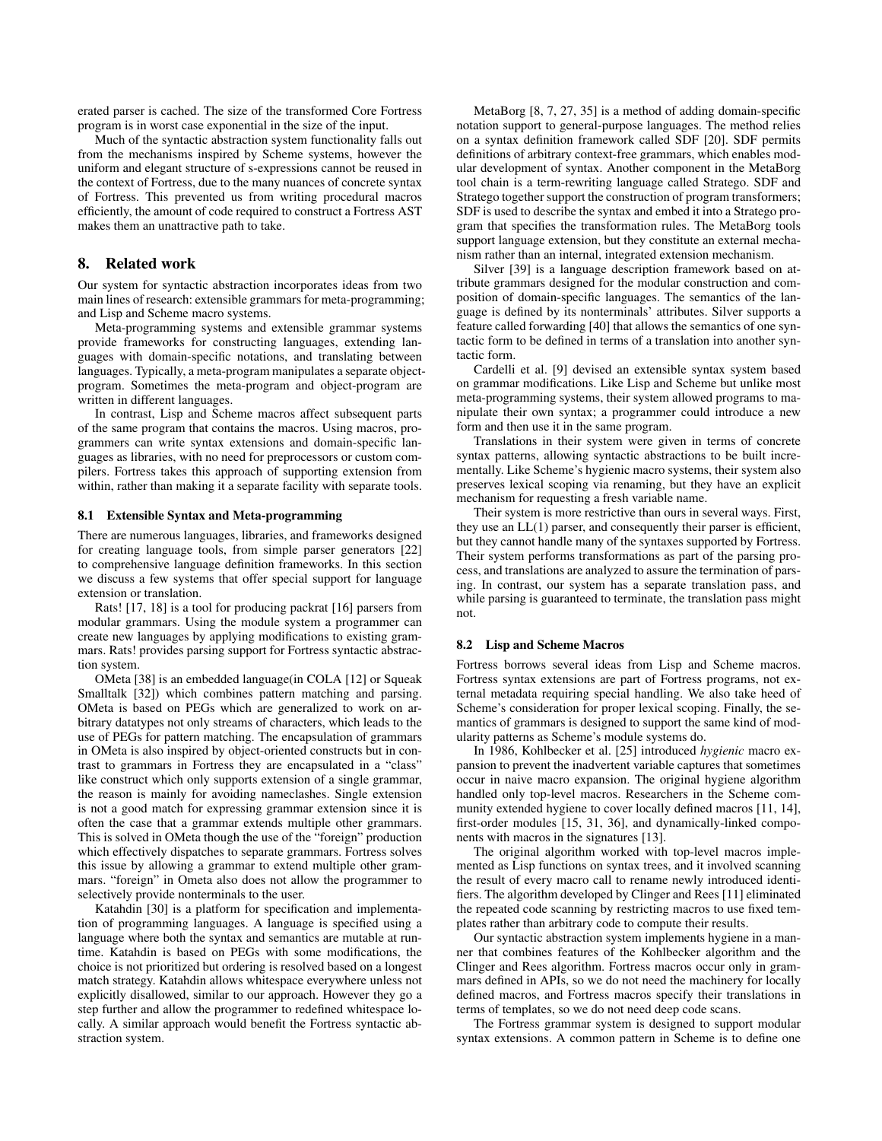erated parser is cached. The size of the transformed Core Fortress program is in worst case exponential in the size of the input.

Much of the syntactic abstraction system functionality falls out from the mechanisms inspired by Scheme systems, however the uniform and elegant structure of s-expressions cannot be reused in the context of Fortress, due to the many nuances of concrete syntax of Fortress. This prevented us from writing procedural macros efficiently, the amount of code required to construct a Fortress AST makes them an unattractive path to take.

# 8. Related work

Our system for syntactic abstraction incorporates ideas from two main lines of research: extensible grammars for meta-programming; and Lisp and Scheme macro systems.

Meta-programming systems and extensible grammar systems provide frameworks for constructing languages, extending languages with domain-specific notations, and translating between languages. Typically, a meta-program manipulates a separate objectprogram. Sometimes the meta-program and object-program are written in different languages.

In contrast, Lisp and Scheme macros affect subsequent parts of the same program that contains the macros. Using macros, programmers can write syntax extensions and domain-specific languages as libraries, with no need for preprocessors or custom compilers. Fortress takes this approach of supporting extension from within, rather than making it a separate facility with separate tools.

#### 8.1 Extensible Syntax and Meta-programming

There are numerous languages, libraries, and frameworks designed for creating language tools, from simple parser generators [22] to comprehensive language definition frameworks. In this section we discuss a few systems that offer special support for language extension or translation.

Rats! [17, 18] is a tool for producing packrat [16] parsers from modular grammars. Using the module system a programmer can create new languages by applying modifications to existing grammars. Rats! provides parsing support for Fortress syntactic abstraction system.

OMeta [38] is an embedded language(in COLA [12] or Squeak Smalltalk [32]) which combines pattern matching and parsing. OMeta is based on PEGs which are generalized to work on arbitrary datatypes not only streams of characters, which leads to the use of PEGs for pattern matching. The encapsulation of grammars in OMeta is also inspired by object-oriented constructs but in contrast to grammars in Fortress they are encapsulated in a "class" like construct which only supports extension of a single grammar, the reason is mainly for avoiding nameclashes. Single extension is not a good match for expressing grammar extension since it is often the case that a grammar extends multiple other grammars. This is solved in OMeta though the use of the "foreign" production which effectively dispatches to separate grammars. Fortress solves this issue by allowing a grammar to extend multiple other grammars. "foreign" in Ometa also does not allow the programmer to selectively provide nonterminals to the user.

Katahdin [30] is a platform for specification and implementation of programming languages. A language is specified using a language where both the syntax and semantics are mutable at runtime. Katahdin is based on PEGs with some modifications, the choice is not prioritized but ordering is resolved based on a longest match strategy. Katahdin allows whitespace everywhere unless not explicitly disallowed, similar to our approach. However they go a step further and allow the programmer to redefined whitespace locally. A similar approach would benefit the Fortress syntactic abstraction system.

MetaBorg [8, 7, 27, 35] is a method of adding domain-specific notation support to general-purpose languages. The method relies on a syntax definition framework called SDF [20]. SDF permits definitions of arbitrary context-free grammars, which enables modular development of syntax. Another component in the MetaBorg tool chain is a term-rewriting language called Stratego. SDF and Stratego together support the construction of program transformers; SDF is used to describe the syntax and embed it into a Stratego program that specifies the transformation rules. The MetaBorg tools support language extension, but they constitute an external mechanism rather than an internal, integrated extension mechanism.

Silver [39] is a language description framework based on attribute grammars designed for the modular construction and composition of domain-specific languages. The semantics of the language is defined by its nonterminals' attributes. Silver supports a feature called forwarding [40] that allows the semantics of one syntactic form to be defined in terms of a translation into another syntactic form.

Cardelli et al. [9] devised an extensible syntax system based on grammar modifications. Like Lisp and Scheme but unlike most meta-programming systems, their system allowed programs to manipulate their own syntax; a programmer could introduce a new form and then use it in the same program.

Translations in their system were given in terms of concrete syntax patterns, allowing syntactic abstractions to be built incrementally. Like Scheme's hygienic macro systems, their system also preserves lexical scoping via renaming, but they have an explicit mechanism for requesting a fresh variable name.

Their system is more restrictive than ours in several ways. First, they use an  $LL(1)$  parser, and consequently their parser is efficient, but they cannot handle many of the syntaxes supported by Fortress. Their system performs transformations as part of the parsing process, and translations are analyzed to assure the termination of parsing. In contrast, our system has a separate translation pass, and while parsing is guaranteed to terminate, the translation pass might not.

#### 8.2 Lisp and Scheme Macros

Fortress borrows several ideas from Lisp and Scheme macros. Fortress syntax extensions are part of Fortress programs, not external metadata requiring special handling. We also take heed of Scheme's consideration for proper lexical scoping. Finally, the semantics of grammars is designed to support the same kind of modularity patterns as Scheme's module systems do.

In 1986, Kohlbecker et al. [25] introduced *hygienic* macro expansion to prevent the inadvertent variable captures that sometimes occur in naive macro expansion. The original hygiene algorithm handled only top-level macros. Researchers in the Scheme community extended hygiene to cover locally defined macros [11, 14], first-order modules [15, 31, 36], and dynamically-linked components with macros in the signatures [13].

The original algorithm worked with top-level macros implemented as Lisp functions on syntax trees, and it involved scanning the result of every macro call to rename newly introduced identifiers. The algorithm developed by Clinger and Rees [11] eliminated the repeated code scanning by restricting macros to use fixed templates rather than arbitrary code to compute their results.

Our syntactic abstraction system implements hygiene in a manner that combines features of the Kohlbecker algorithm and the Clinger and Rees algorithm. Fortress macros occur only in grammars defined in APIs, so we do not need the machinery for locally defined macros, and Fortress macros specify their translations in terms of templates, so we do not need deep code scans.

The Fortress grammar system is designed to support modular syntax extensions. A common pattern in Scheme is to define one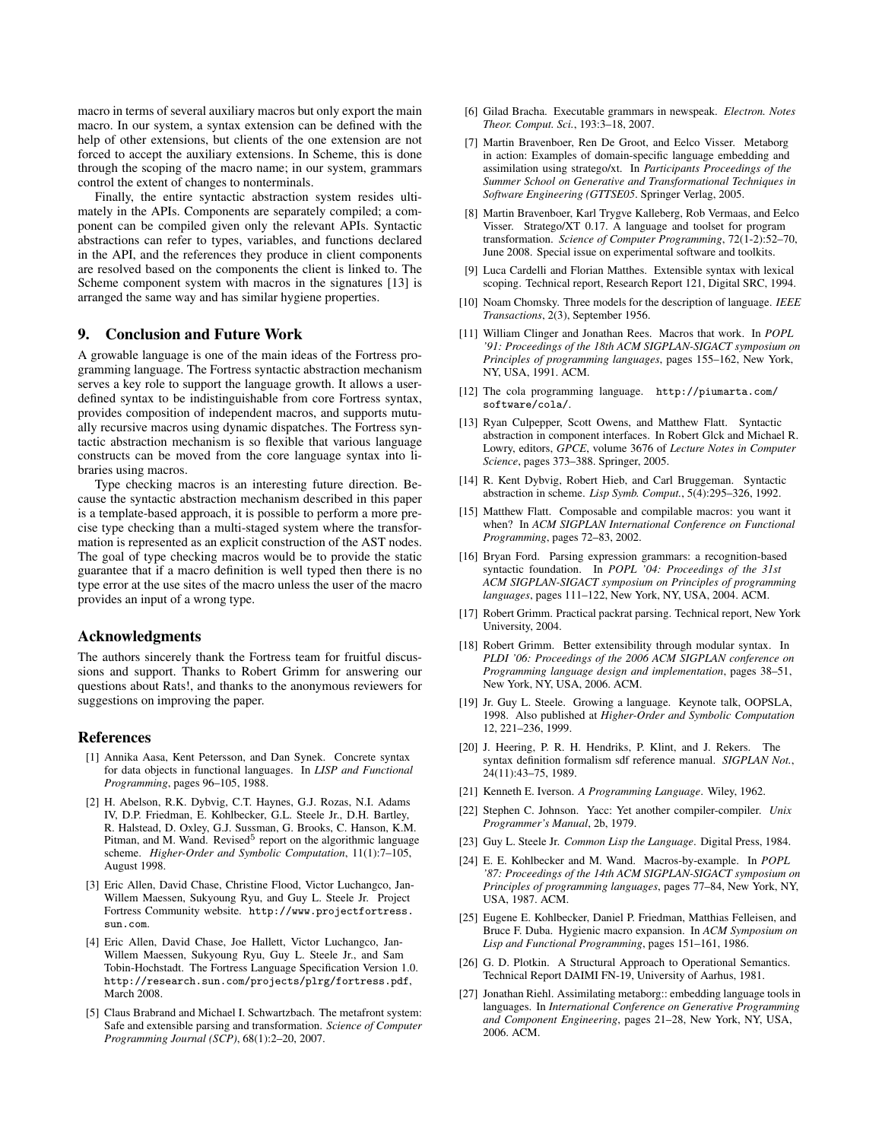macro in terms of several auxiliary macros but only export the main macro. In our system, a syntax extension can be defined with the help of other extensions, but clients of the one extension are not forced to accept the auxiliary extensions. In Scheme, this is done through the scoping of the macro name; in our system, grammars control the extent of changes to nonterminals.

Finally, the entire syntactic abstraction system resides ultimately in the APIs. Components are separately compiled; a component can be compiled given only the relevant APIs. Syntactic abstractions can refer to types, variables, and functions declared in the API, and the references they produce in client components are resolved based on the components the client is linked to. The Scheme component system with macros in the signatures [13] is arranged the same way and has similar hygiene properties.

## 9. Conclusion and Future Work

A growable language is one of the main ideas of the Fortress programming language. The Fortress syntactic abstraction mechanism serves a key role to support the language growth. It allows a userdefined syntax to be indistinguishable from core Fortress syntax, provides composition of independent macros, and supports mutually recursive macros using dynamic dispatches. The Fortress syntactic abstraction mechanism is so flexible that various language constructs can be moved from the core language syntax into libraries using macros.

Type checking macros is an interesting future direction. Because the syntactic abstraction mechanism described in this paper is a template-based approach, it is possible to perform a more precise type checking than a multi-staged system where the transformation is represented as an explicit construction of the AST nodes. The goal of type checking macros would be to provide the static guarantee that if a macro definition is well typed then there is no type error at the use sites of the macro unless the user of the macro provides an input of a wrong type.

## Acknowledgments

The authors sincerely thank the Fortress team for fruitful discussions and support. Thanks to Robert Grimm for answering our questions about Rats!, and thanks to the anonymous reviewers for suggestions on improving the paper.

## References

- [1] Annika Aasa, Kent Petersson, and Dan Synek. Concrete syntax for data objects in functional languages. In *LISP and Functional Programming*, pages 96–105, 1988.
- [2] H. Abelson, R.K. Dybvig, C.T. Haynes, G.J. Rozas, N.I. Adams IV, D.P. Friedman, E. Kohlbecker, G.L. Steele Jr., D.H. Bartley, R. Halstead, D. Oxley, G.J. Sussman, G. Brooks, C. Hanson, K.M. Pitman, and M. Wand. Revised<sup>5</sup> report on the algorithmic language scheme. *Higher-Order and Symbolic Computation*, 11(1):7–105, August 1998.
- [3] Eric Allen, David Chase, Christine Flood, Victor Luchangco, Jan-Willem Maessen, Sukyoung Ryu, and Guy L. Steele Jr. Project Fortress Community website. http://www.projectfortress. sun.com.
- [4] Eric Allen, David Chase, Joe Hallett, Victor Luchangco, Jan-Willem Maessen, Sukyoung Ryu, Guy L. Steele Jr., and Sam Tobin-Hochstadt. The Fortress Language Specification Version 1.0. http://research.sun.com/projects/plrg/fortress.pdf, March 2008.
- [5] Claus Brabrand and Michael I. Schwartzbach. The metafront system: Safe and extensible parsing and transformation. *Science of Computer Programming Journal (SCP)*, 68(1):2–20, 2007.
- [6] Gilad Bracha. Executable grammars in newspeak. *Electron. Notes Theor. Comput. Sci.*, 193:3–18, 2007.
- [7] Martin Bravenboer, Ren De Groot, and Eelco Visser. Metaborg in action: Examples of domain-specific language embedding and assimilation using stratego/xt. In *Participants Proceedings of the Summer School on Generative and Transformational Techniques in Software Engineering (GTTSE05*. Springer Verlag, 2005.
- [8] Martin Bravenboer, Karl Trygve Kalleberg, Rob Vermaas, and Eelco Visser. Stratego/XT 0.17. A language and toolset for program transformation. *Science of Computer Programming*, 72(1-2):52–70, June 2008. Special issue on experimental software and toolkits.
- [9] Luca Cardelli and Florian Matthes. Extensible syntax with lexical scoping. Technical report, Research Report 121, Digital SRC, 1994.
- [10] Noam Chomsky. Three models for the description of language. *IEEE Transactions*, 2(3), September 1956.
- [11] William Clinger and Jonathan Rees. Macros that work. In *POPL '91: Proceedings of the 18th ACM SIGPLAN-SIGACT symposium on Principles of programming languages*, pages 155–162, New York, NY, USA, 1991. ACM.
- [12] The cola programming language. http://piumarta.com/ software/cola/.
- [13] Ryan Culpepper, Scott Owens, and Matthew Flatt. Syntactic abstraction in component interfaces. In Robert Glck and Michael R. Lowry, editors, *GPCE*, volume 3676 of *Lecture Notes in Computer Science*, pages 373–388. Springer, 2005.
- [14] R. Kent Dybvig, Robert Hieb, and Carl Bruggeman. Syntactic abstraction in scheme. *Lisp Symb. Comput.*, 5(4):295–326, 1992.
- [15] Matthew Flatt. Composable and compilable macros: you want it when? In *ACM SIGPLAN International Conference on Functional Programming*, pages 72–83, 2002.
- [16] Bryan Ford. Parsing expression grammars: a recognition-based syntactic foundation. In *POPL '04: Proceedings of the 31st ACM SIGPLAN-SIGACT symposium on Principles of programming languages*, pages 111–122, New York, NY, USA, 2004. ACM.
- [17] Robert Grimm. Practical packrat parsing. Technical report, New York University, 2004.
- [18] Robert Grimm. Better extensibility through modular syntax. In *PLDI '06: Proceedings of the 2006 ACM SIGPLAN conference on Programming language design and implementation*, pages 38–51, New York, NY, USA, 2006. ACM.
- [19] Jr. Guy L. Steele. Growing a language. Keynote talk, OOPSLA, 1998. Also published at *Higher-Order and Symbolic Computation* 12, 221–236, 1999.
- [20] J. Heering, P. R. H. Hendriks, P. Klint, and J. Rekers. The syntax definition formalism sdf reference manual. *SIGPLAN Not.*, 24(11):43–75, 1989.
- [21] Kenneth E. Iverson. *A Programming Language*. Wiley, 1962.
- [22] Stephen C. Johnson. Yacc: Yet another compiler-compiler. *Unix Programmer's Manual*, 2b, 1979.
- [23] Guy L. Steele Jr. *Common Lisp the Language*. Digital Press, 1984.
- [24] E. E. Kohlbecker and M. Wand. Macros-by-example. In *POPL '87: Proceedings of the 14th ACM SIGPLAN-SIGACT symposium on Principles of programming languages*, pages 77–84, New York, NY, USA, 1987. ACM.
- [25] Eugene E. Kohlbecker, Daniel P. Friedman, Matthias Felleisen, and Bruce F. Duba. Hygienic macro expansion. In *ACM Symposium on Lisp and Functional Programming*, pages 151–161, 1986.
- [26] G. D. Plotkin. A Structural Approach to Operational Semantics. Technical Report DAIMI FN-19, University of Aarhus, 1981.
- [27] Jonathan Riehl. Assimilating metaborg:: embedding language tools in languages. In *International Conference on Generative Programming and Component Engineering*, pages 21–28, New York, NY, USA, 2006. ACM.